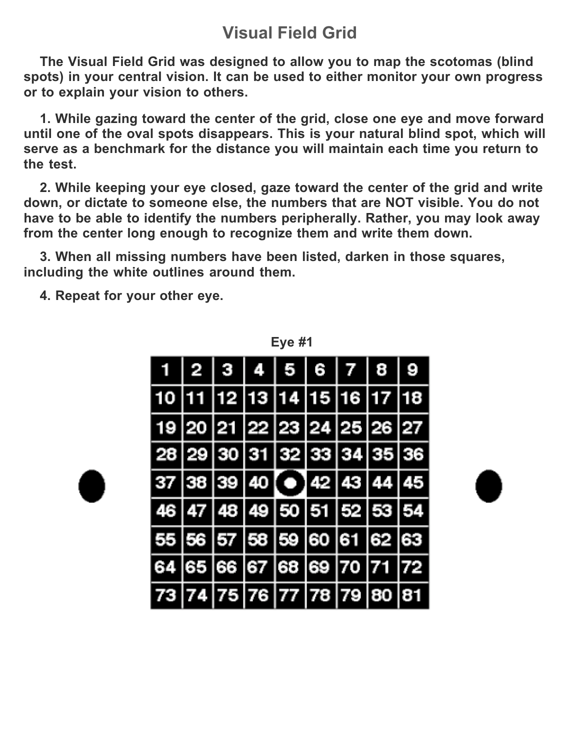#### **Visual Field Grid**

**The Visual Field Grid was designed to allow you to map the scotomas (blind spots) in your central vision. It can be used to either monitor your own progress or to explain your vision to others.**

**1. While gazing toward the center of the grid, close one eye and move forward until one of the oval spots disappears. This is your natural blind spot, which will serve as a benchmark for the distance you will maintain each time you return to the test.**

**2. While keeping your eye closed, gaze toward the center of the grid and write down, or dictate to someone else, the numbers that are NOT visible. You do not have to be able to identify the numbers peripherally. Rather, you may look away from the center long enough to recognize them and write them down.**

**3. When all missing numbers have been listed, darken in those squares, including the white outlines around them.**

**4. Repeat for your other eye.**

|                                    | $1 \mid 2 \mid 3 \mid 4 \mid 5 \mid 6 \mid 7 \mid 8 \mid 9$ |  |  |  |
|------------------------------------|-------------------------------------------------------------|--|--|--|
| 10  11  12  13  14  15  16  17  18 |                                                             |  |  |  |
| 19 20 21 22 23 24 25 26 27         |                                                             |  |  |  |
|                                    | 28 29 30 31 32 33 34 35 36                                  |  |  |  |
|                                    | $37 38 39 40$ (e) 42 43 44 45                               |  |  |  |
|                                    | 46 47 48 49 50 51 52 53 54                                  |  |  |  |
| 55  56  57  58  59  60  61  62  63 |                                                             |  |  |  |
| 64  65  66  67  68  69  70  71  72 |                                                             |  |  |  |
| 73  74  75  76  77  78  79  80  81 |                                                             |  |  |  |

**Eye #1**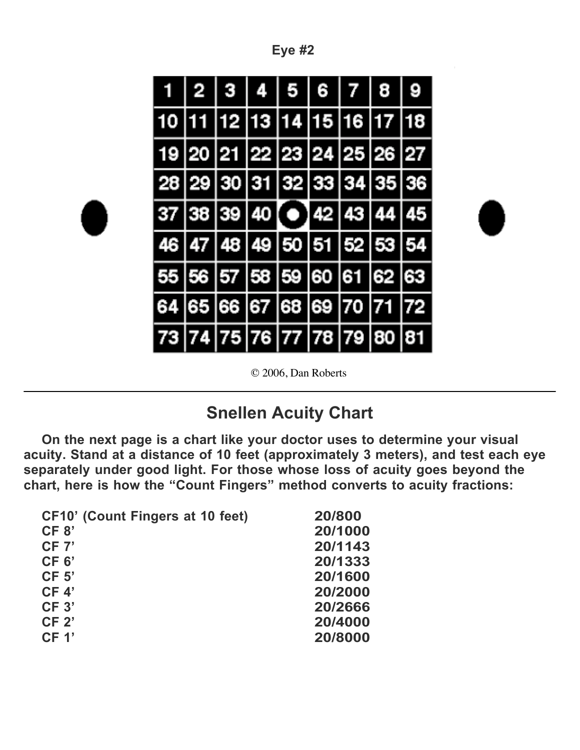|--|--|

|  |       |                                  | 5<br>ı | 6   7   |                            |   |
|--|-------|----------------------------------|--------|---------|----------------------------|---|
|  |       | 13 1                             |        | 4 15 16 |                            | 8 |
|  |       |                                  |        |         | 19 20 21 22 23 24 25 26 27 |   |
|  |       |                                  |        |         | 28 29 30 31 32 33 34 35 36 |   |
|  |       |                                  |        |         | 37 38 39 40 0 42 43 44 45  |   |
|  |       |                                  |        |         | 46 47 48 49 50 51 52 53 54 |   |
|  |       |                                  |        |         | 56 57 58 59 60 61 62 63    |   |
|  | 66 67 |                                  | 68     | 69 70   | 71                         |   |
|  |       | 74   75   76   77   78   79   80 |        |         |                            |   |

© 2006, Dan Roberts

### **Snellen Acuity Chart**

**On the next page is a chart like your doctor uses to determine your visual acuity. Stand at a distance of 10 feet (approximately 3 meters), and test each eye separately under good light. For those whose loss of acuity goes beyond the chart, here is how the "Count Fingers" method converts to acuity fractions:** 

| CF10' (Count Fingers at 10 feet) | 20/800  |
|----------------------------------|---------|
| CF 8'                            | 20/1000 |
| CF 7'                            | 20/1143 |
| CF <sub>6</sub>                  | 20/1333 |
| CF <sub>5</sub>                  | 20/1600 |
| CF 4'                            | 20/2000 |
| CF 3'                            | 20/2666 |
| CF <sub>2</sub>                  | 20/4000 |
| CF 1'                            | 20/8000 |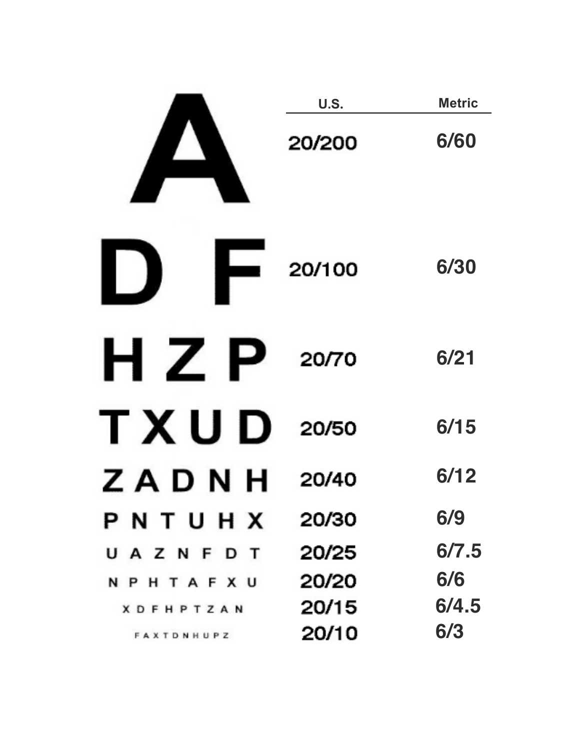|                     | U.S.   | <b>Metric</b> |
|---------------------|--------|---------------|
|                     | 20/200 | 6/60          |
| $\overline{20/100}$ |        | 6/30          |
| $H Z P$ 20/70       |        | 6/21          |
| TXUD                | 20/50  | 6/15          |
| ZADNH               | 20/40  | 6/12          |
| PNTUHX              | 20/30  | 6/9           |
| UAZNFDT             | 20/25  | 6/7.5         |
| <b>NPHTAFXU</b>     | 20/20  | 6/6           |
| <b>XDFHPTZAN</b>    | 20/15  | 6/4.5         |
| FAXTDNHUPZ          | 20/10  | 6/3           |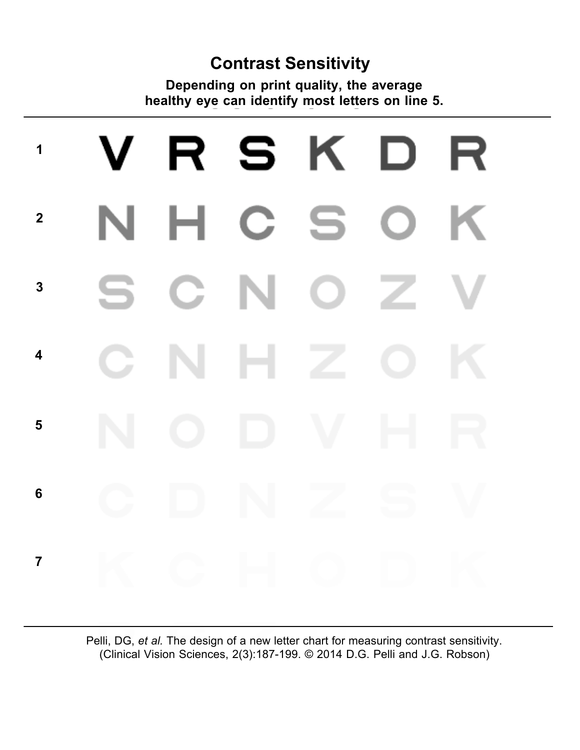#### **Contrast Sensitivity**

**Depending on print quality, the average healthy eye can identify most letters on line 5.** 

# R S K. **1** К - 1 н S **2** C **3 4 5 6 7**

Pelli, DG, *et al.* The design of a new letter chart for measuring contrast sensitivity. (Clinical Vision Sciences, 2(3):187-199. © 2014 D.G. Pelli and J.G. Robson)